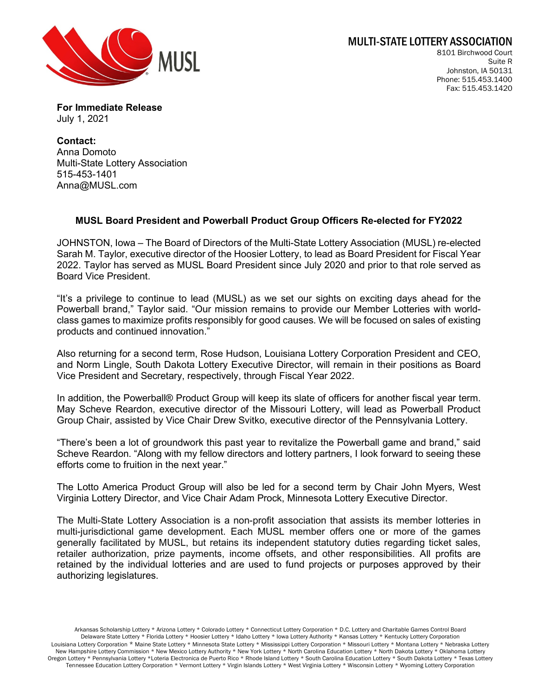

8101 Birchwood Court Suite R Johnston, IA 50131 Phone: 515.453.1400 Fax: 515.453.1420

**For Immediate Release** July 1, 2021

**Contact:**  Anna Domoto Multi-State Lottery Association 515-453-1401 Anna@MUSL.com

## **MUSL Board President and Powerball Product Group Officers Re-elected for FY2022**

JOHNSTON, Iowa – The Board of Directors of the Multi-State Lottery Association (MUSL) re-elected Sarah M. Taylor, executive director of the Hoosier Lottery, to lead as Board President for Fiscal Year 2022. Taylor has served as MUSL Board President since July 2020 and prior to that role served as Board Vice President.

"It's a privilege to continue to lead (MUSL) as we set our sights on exciting days ahead for the Powerball brand," Taylor said. "Our mission remains to provide our Member Lotteries with worldclass games to maximize profits responsibly for good causes. We will be focused on sales of existing products and continued innovation."

Also returning for a second term, Rose Hudson, Louisiana Lottery Corporation President and CEO, and Norm Lingle, South Dakota Lottery Executive Director, will remain in their positions as Board Vice President and Secretary, respectively, through Fiscal Year 2022.

In addition, the Powerball® Product Group will keep its slate of officers for another fiscal year term. May Scheve Reardon, executive director of the Missouri Lottery, will lead as Powerball Product Group Chair, assisted by Vice Chair Drew Svitko, executive director of the Pennsylvania Lottery.

"There's been a lot of groundwork this past year to revitalize the Powerball game and brand," said Scheve Reardon. "Along with my fellow directors and lottery partners, I look forward to seeing these efforts come to fruition in the next year."

The Lotto America Product Group will also be led for a second term by Chair John Myers, West Virginia Lottery Director, and Vice Chair Adam Prock, Minnesota Lottery Executive Director.

The Multi-State Lottery Association is a non-profit association that assists its member lotteries in multi-jurisdictional game development. Each MUSL member offers one or more of the games generally facilitated by MUSL, but retains its independent statutory duties regarding ticket sales, retailer authorization, prize payments, income offsets, and other responsibilities. All profits are retained by the individual lotteries and are used to fund projects or purposes approved by their authorizing legislatures.